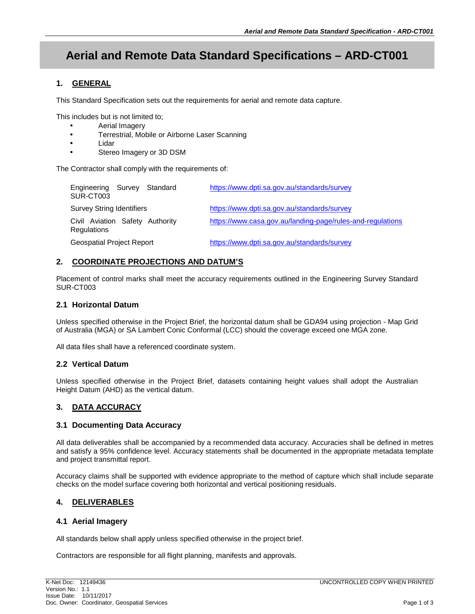# **Aerial and Remote Data Standard Specifications – ARD-CT001**

# **1. GENERAL**

This Standard Specification sets out the requirements for aerial and remote data capture.

This includes but is not limited to;

- Aerial Imagery
- Terrestrial, Mobile or Airborne Laser Scanning
- Lidar
- Stereo Imagery or 3D DSM

The Contractor shall comply with the requirements of:

| Engineering Survey Standard<br>SUR-CT003       |  |  | https://www.dpti.sa.gov.au/standards/survey                |
|------------------------------------------------|--|--|------------------------------------------------------------|
| <b>Survey String Identifiers</b>               |  |  | https://www.dpti.sa.gov.au/standards/survey                |
| Civil Aviation Safety Authority<br>Regulations |  |  | https://www.casa.gov.au/landing-page/rules-and-regulations |
| <b>Geospatial Project Report</b>               |  |  | https://www.dpti.sa.gov.au/standards/survey                |

# **2. COORDINATE PROJECTIONS AND DATUM'S**

Placement of control marks shall meet the accuracy requirements outlined in the Engineering Survey Standard SUR-CT003

### **2.1 Horizontal Datum**

Unless specified otherwise in the Project Brief, the horizontal datum shall be GDA94 using projection - Map Grid of Australia (MGA) or SA Lambert Conic Conformal (LCC) should the coverage exceed one MGA zone.

All data files shall have a referenced coordinate system.

# **2.2 Vertical Datum**

Unless specified otherwise in the Project Brief, datasets containing height values shall adopt the Australian Height Datum (AHD) as the vertical datum.

# **3. DATA ACCURACY**

# **3.1 Documenting Data Accuracy**

All data deliverables shall be accompanied by a recommended data accuracy. Accuracies shall be defined in metres and satisfy a 95% confidence level. Accuracy statements shall be documented in the appropriate metadata template and project transmittal report.

Accuracy claims shall be supported with evidence appropriate to the method of capture which shall include separate checks on the model surface covering both horizontal and vertical positioning residuals.

# **4. DELIVERABLES**

# **4.1 Aerial Imagery**

All standards below shall apply unless specified otherwise in the project brief.

Contractors are responsible for all flight planning, manifests and approvals.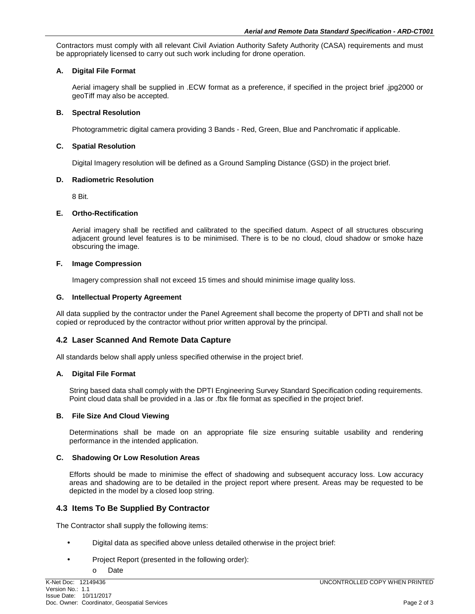Contractors must comply with all relevant Civil Aviation Authority Safety Authority (CASA) requirements and must be appropriately licensed to carry out such work including for drone operation.

### **A. Digital File Format**

Aerial imagery shall be supplied in .ECW format as a preference, if specified in the project brief .jpg2000 or geoTiff may also be accepted.

#### **B. Spectral Resolution**

Photogrammetric digital camera providing 3 Bands - Red, Green, Blue and Panchromatic if applicable.

#### **C. Spatial Resolution**

Digital Imagery resolution will be defined as a Ground Sampling Distance (GSD) in the project brief.

#### **D. Radiometric Resolution**

8 Bit.

#### **E. Ortho-Rectification**

Aerial imagery shall be rectified and calibrated to the specified datum. Aspect of all structures obscuring adjacent ground level features is to be minimised. There is to be no cloud, cloud shadow or smoke haze obscuring the image.

#### **F. Image Compression**

Imagery compression shall not exceed 15 times and should minimise image quality loss.

#### **G. Intellectual Property Agreement**

All data supplied by the contractor under the Panel Agreement shall become the property of DPTI and shall not be copied or reproduced by the contractor without prior written approval by the principal.

# **4.2 Laser Scanned And Remote Data Capture**

All standards below shall apply unless specified otherwise in the project brief.

#### **A. Digital File Format**

String based data shall comply with the DPTI Engineering Survey Standard Specification coding requirements. Point cloud data shall be provided in a .las or .fbx file format as specified in the project brief.

#### **B. File Size And Cloud Viewing**

Determinations shall be made on an appropriate file size ensuring suitable usability and rendering performance in the intended application.

#### **C. Shadowing Or Low Resolution Areas**

Efforts should be made to minimise the effect of shadowing and subsequent accuracy loss. Low accuracy areas and shadowing are to be detailed in the project report where present. Areas may be requested to be depicted in the model by a closed loop string.

# **4.3 Items To Be Supplied By Contractor**

The Contractor shall supply the following items:

- Digital data as specified above unless detailed otherwise in the project brief:
- Project Report (presented in the following order):
	- o Date